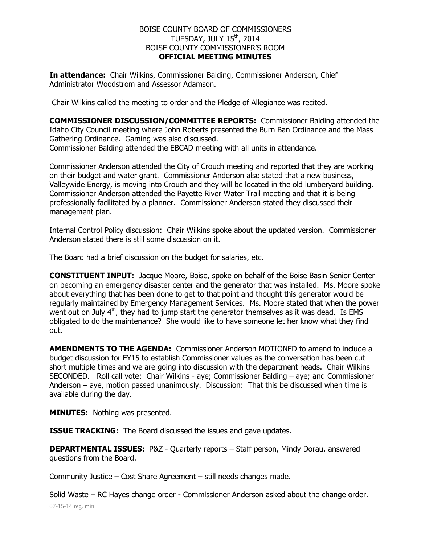## BOISE COUNTY BOARD OF COMMISSIONERS TUESDAY, JULY  $15<sup>th</sup>$ , 2014 BOISE COUNTY COMMISSIONER'S ROOM **OFFICIAL MEETING MINUTES**

**In attendance:** Chair Wilkins, Commissioner Balding, Commissioner Anderson, Chief Administrator Woodstrom and Assessor Adamson.

Chair Wilkins called the meeting to order and the Pledge of Allegiance was recited.

**COMMISSIONER DISCUSSION/COMMITTEE REPORTS:** Commissioner Balding attended the Idaho City Council meeting where John Roberts presented the Burn Ban Ordinance and the Mass Gathering Ordinance. Gaming was also discussed. Commissioner Balding attended the EBCAD meeting with all units in attendance.

Commissioner Anderson attended the City of Crouch meeting and reported that they are working on their budget and water grant. Commissioner Anderson also stated that a new business, Valleywide Energy, is moving into Crouch and they will be located in the old lumberyard building. Commissioner Anderson attended the Payette River Water Trail meeting and that it is being professionally facilitated by a planner. Commissioner Anderson stated they discussed their management plan.

Internal Control Policy discussion: Chair Wilkins spoke about the updated version. Commissioner Anderson stated there is still some discussion on it.

The Board had a brief discussion on the budget for salaries, etc.

**CONSTITUENT INPUT:** Jacque Moore, Boise, spoke on behalf of the Boise Basin Senior Center on becoming an emergency disaster center and the generator that was installed. Ms. Moore spoke about everything that has been done to get to that point and thought this generator would be regularly maintained by Emergency Management Services. Ms. Moore stated that when the power went out on July  $4<sup>th</sup>$ , they had to jump start the generator themselves as it was dead. Is EMS obligated to do the maintenance? She would like to have someone let her know what they find out.

**AMENDMENTS TO THE AGENDA:** Commissioner Anderson MOTIONED to amend to include a budget discussion for FY15 to establish Commissioner values as the conversation has been cut short multiple times and we are going into discussion with the department heads. Chair Wilkins SECONDED. Roll call vote: Chair Wilkins - aye; Commissioner Balding – aye; and Commissioner Anderson – aye, motion passed unanimously. Discussion: That this be discussed when time is available during the day.

**MINUTES:** Nothing was presented.

**ISSUE TRACKING:** The Board discussed the issues and gave updates.

**DEPARTMENTAL ISSUES:** P&Z - Quarterly reports – Staff person, Mindy Dorau, answered questions from the Board.

Community Justice – Cost Share Agreement – still needs changes made.

07-15-14 reg. min. Solid Waste – RC Hayes change order - Commissioner Anderson asked about the change order.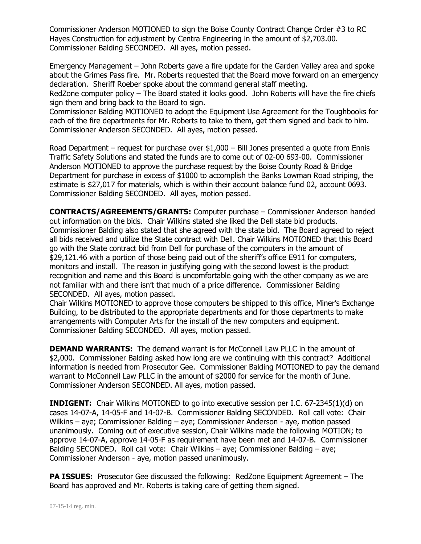Commissioner Anderson MOTIONED to sign the Boise County Contract Change Order #3 to RC Hayes Construction for adjustment by Centra Engineering in the amount of \$2,703.00. Commissioner Balding SECONDED. All ayes, motion passed.

Emergency Management – John Roberts gave a fire update for the Garden Valley area and spoke about the Grimes Pass fire. Mr. Roberts requested that the Board move forward on an emergency declaration. Sheriff Roeber spoke about the command general staff meeting.

RedZone computer policy – The Board stated it looks good. John Roberts will have the fire chiefs sign them and bring back to the Board to sign.

Commissioner Balding MOTIONED to adopt the Equipment Use Agreement for the Toughbooks for each of the fire departments for Mr. Roberts to take to them, get them signed and back to him. Commissioner Anderson SECONDED. All ayes, motion passed.

Road Department – request for purchase over \$1,000 – Bill Jones presented a quote from Ennis Traffic Safety Solutions and stated the funds are to come out of 02-00 693-00. Commissioner Anderson MOTIONED to approve the purchase request by the Boise County Road & Bridge Department for purchase in excess of \$1000 to accomplish the Banks Lowman Road striping, the estimate is \$27,017 for materials, which is within their account balance fund 02, account 0693. Commissioner Balding SECONDED. All ayes, motion passed.

**CONTRACTS/AGREEMENTS/GRANTS:** Computer purchase – Commissioner Anderson handed out information on the bids. Chair Wilkins stated she liked the Dell state bid products. Commissioner Balding also stated that she agreed with the state bid. The Board agreed to reject all bids received and utilize the State contract with Dell. Chair Wilkins MOTIONED that this Board go with the State contract bid from Dell for purchase of the computers in the amount of \$29,121.46 with a portion of those being paid out of the sheriff's office E911 for computers, monitors and install. The reason in justifying going with the second lowest is the product recognition and name and this Board is uncomfortable going with the other company as we are not familiar with and there isn't that much of a price difference. Commissioner Balding SECONDED. All ayes, motion passed.

Chair Wilkins MOTIONED to approve those computers be shipped to this office, Miner's Exchange Building, to be distributed to the appropriate departments and for those departments to make arrangements with Computer Arts for the install of the new computers and equipment. Commissioner Balding SECONDED. All ayes, motion passed.

**DEMAND WARRANTS:** The demand warrant is for McConnell Law PLLC in the amount of \$2,000. Commissioner Balding asked how long are we continuing with this contract? Additional information is needed from Prosecutor Gee. Commissioner Balding MOTIONED to pay the demand warrant to McConnell Law PLLC in the amount of \$2000 for service for the month of June. Commissioner Anderson SECONDED. All ayes, motion passed.

**INDIGENT:** Chair Wilkins MOTIONED to go into executive session per I.C. 67-2345(1)(d) on cases 14-07-A, 14-05-F and 14-07-B. Commissioner Balding SECONDED. Roll call vote: Chair Wilkins – aye; Commissioner Balding – aye; Commissioner Anderson - aye, motion passed unanimously. Coming out of executive session, Chair Wilkins made the following MOTION; to approve 14-07-A, approve 14-05-F as requirement have been met and 14-07-B. Commissioner Balding SECONDED. Roll call vote: Chair Wilkins – aye; Commissioner Balding – aye; Commissioner Anderson - aye, motion passed unanimously.

**PA ISSUES:** Prosecutor Gee discussed the following: RedZone Equipment Agreement – The Board has approved and Mr. Roberts is taking care of getting them signed.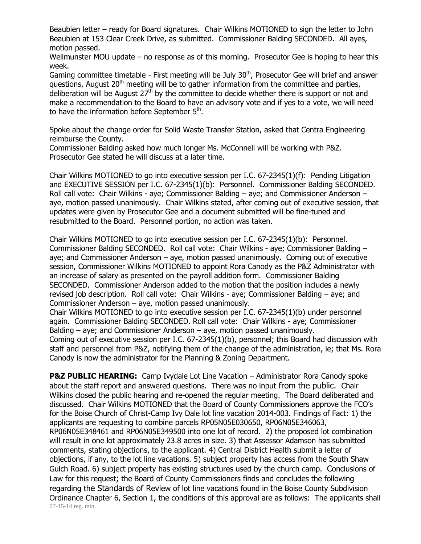Beaubien letter – ready for Board signatures. Chair Wilkins MOTIONED to sign the letter to John Beaubien at 153 Clear Creek Drive, as submitted. Commissioner Balding SECONDED. All ayes, motion passed.

Weilmunster MOU update – no response as of this morning. Prosecutor Gee is hoping to hear this week.

Gaming committee timetable - First meeting will be July 30<sup>th</sup>, Prosecutor Gee will brief and answer questions, August  $20<sup>th</sup>$  meeting will be to gather information from the committee and parties, deliberation will be August  $27<sup>th</sup>$  by the committee to decide whether there is support or not and make a recommendation to the Board to have an advisory vote and if yes to a vote, we will need to have the information before September  $5^{\text{th}}$ .

Spoke about the change order for Solid Waste Transfer Station, asked that Centra Engineering reimburse the County.

Commissioner Balding asked how much longer Ms. McConnell will be working with P&Z. Prosecutor Gee stated he will discuss at a later time.

Chair Wilkins MOTIONED to go into executive session per I.C. 67-2345(1)(f): Pending Litigation and EXECUTIVE SESSION per I.C. 67-2345(1)(b): Personnel. Commissioner Balding SECONDED. Roll call vote: Chair Wilkins - aye; Commissioner Balding – aye; and Commissioner Anderson – aye, motion passed unanimously. Chair Wilkins stated, after coming out of executive session, that updates were given by Prosecutor Gee and a document submitted will be fine-tuned and resubmitted to the Board. Personnel portion, no action was taken.

Chair Wilkins MOTIONED to go into executive session per I.C. 67-2345(1)(b): Personnel. Commissioner Balding SECONDED. Roll call vote: Chair Wilkins - aye; Commissioner Balding – aye; and Commissioner Anderson – aye, motion passed unanimously. Coming out of executive session, Commissioner Wilkins MOTIONED to appoint Rora Canody as the P&Z Administrator with an increase of salary as presented on the payroll addition form. Commissioner Balding SECONDED. Commissioner Anderson added to the motion that the position includes a newly revised job description. Roll call vote: Chair Wilkins - aye; Commissioner Balding – aye; and Commissioner Anderson – aye, motion passed unanimously.

Chair Wilkins MOTIONED to go into executive session per I.C. 67-2345(1)(b) under personnel again. Commissioner Balding SECONDED. Roll call vote: Chair Wilkins - aye; Commissioner Balding – aye; and Commissioner Anderson – aye, motion passed unanimously. Coming out of executive session per I.C. 67-2345(1)(b), personnel; this Board had discussion with

staff and personnel from P&Z, notifying them of the change of the administration, ie; that Ms. Rora Canody is now the administrator for the Planning & Zoning Department.

07-15-14 reg. min. **P&Z PUBLIC HEARING:** Camp Ivydale Lot Line Vacation – Administrator Rora Canody spoke about the staff report and answered questions. There was no input from the public. Chair Wilkins closed the public hearing and re-opened the regular meeting. The Board deliberated and discussed. Chair Wilkins MOTIONED that the Board of County Commissioners approve the FCO's for the Boise Church of Christ-Camp Ivy Dale lot line vacation 2014-003. Findings of Fact: 1) the applicants are requesting to combine parcels RP05N05E030650, RP06N05E346063, RP06N05E348461 and RP06N05E349500 into one lot of record. 2) the proposed lot combination will result in one lot approximately 23.8 acres in size. 3) that Assessor Adamson has submitted comments, stating objections, to the applicant. 4) Central District Health submit a letter of objections, if any, to the lot line vacations. 5) subject property has access from the South Shaw Gulch Road. 6) subject property has existing structures used by the church camp. Conclusions of Law for this request; the Board of County Commissioners finds and concludes the following regarding the Standards of Review of lot line vacations found in the Boise County Subdivision Ordinance Chapter 6, Section 1, the conditions of this approval are as follows: The applicants shall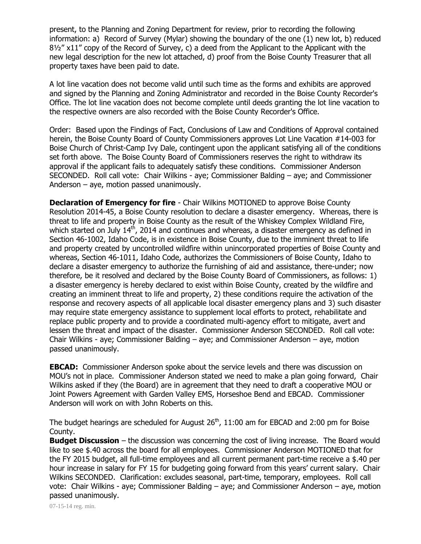present, to the Planning and Zoning Department for review, prior to recording the following information: a) Record of Survey (Mylar) showing the boundary of the one (1) new lot, b) reduced  $8\frac{1}{2}$ " x11" copy of the Record of Survey, c) a deed from the Applicant to the Applicant with the new legal description for the new lot attached, d) proof from the Boise County Treasurer that all property taxes have been paid to date.

A lot line vacation does not become valid until such time as the forms and exhibits are approved and signed by the Planning and Zoning Administrator and recorded in the Boise County Recorder's Office. The lot line vacation does not become complete until deeds granting the lot line vacation to the respective owners are also recorded with the Boise County Recorder's Office.

Order: Based upon the Findings of Fact, Conclusions of Law and Conditions of Approval contained herein, the Boise County Board of County Commissioners approves Lot Line Vacation #14-003 for Boise Church of Christ-Camp Ivy Dale, contingent upon the applicant satisfying all of the conditions set forth above. The Boise County Board of Commissioners reserves the right to withdraw its approval if the applicant fails to adequately satisfy these conditions. Commissioner Anderson SECONDED. Roll call vote: Chair Wilkins - aye; Commissioner Balding – aye; and Commissioner Anderson – aye, motion passed unanimously.

**Declaration of Emergency for fire** - Chair Wilkins MOTIONED to approve Boise County Resolution 2014-45, a Boise County resolution to declare a disaster emergency. Whereas, there is threat to life and property in Boise County as the result of the Whiskey Complex Wildland Fire, which started on July  $14<sup>th</sup>$ , 2014 and continues and whereas, a disaster emergency as defined in Section 46-1002, Idaho Code, is in existence in Boise County, due to the imminent threat to life and property created by uncontrolled wildfire within unincorporated properties of Boise County and whereas, Section 46-1011, Idaho Code, authorizes the Commissioners of Boise County, Idaho to declare a disaster emergency to authorize the furnishing of aid and assistance, there-under; now therefore, be it resolved and declared by the Boise County Board of Commissioners, as follows: 1) a disaster emergency is hereby declared to exist within Boise County, created by the wildfire and creating an imminent threat to life and property, 2) these conditions require the activation of the response and recovery aspects of all applicable local disaster emergency plans and 3) such disaster may require state emergency assistance to supplement local efforts to protect, rehabilitate and replace public property and to provide a coordinated multi-agency effort to mitigate, avert and lessen the threat and impact of the disaster. Commissioner Anderson SECONDED. Roll call vote: Chair Wilkins - aye; Commissioner Balding – aye; and Commissioner Anderson – aye, motion passed unanimously.

**EBCAD:** Commissioner Anderson spoke about the service levels and there was discussion on MOU's not in place. Commissioner Anderson stated we need to make a plan going forward, Chair Wilkins asked if they (the Board) are in agreement that they need to draft a cooperative MOU or Joint Powers Agreement with Garden Valley EMS, Horseshoe Bend and EBCAD. Commissioner Anderson will work on with John Roberts on this.

The budget hearings are scheduled for August  $26<sup>th</sup>$ , 11:00 am for EBCAD and 2:00 pm for Boise County.

**Budget Discussion** – the discussion was concerning the cost of living increase. The Board would like to see \$.40 across the board for all employees. Commissioner Anderson MOTIONED that for the FY 2015 budget, all full-time employees and all current permanent part-time receive a \$.40 per hour increase in salary for FY 15 for budgeting going forward from this years' current salary. Chair Wilkins SECONDED. Clarification: excludes seasonal, part-time, temporary, employees. Roll call vote: Chair Wilkins - aye; Commissioner Balding – aye; and Commissioner Anderson – aye, motion passed unanimously.